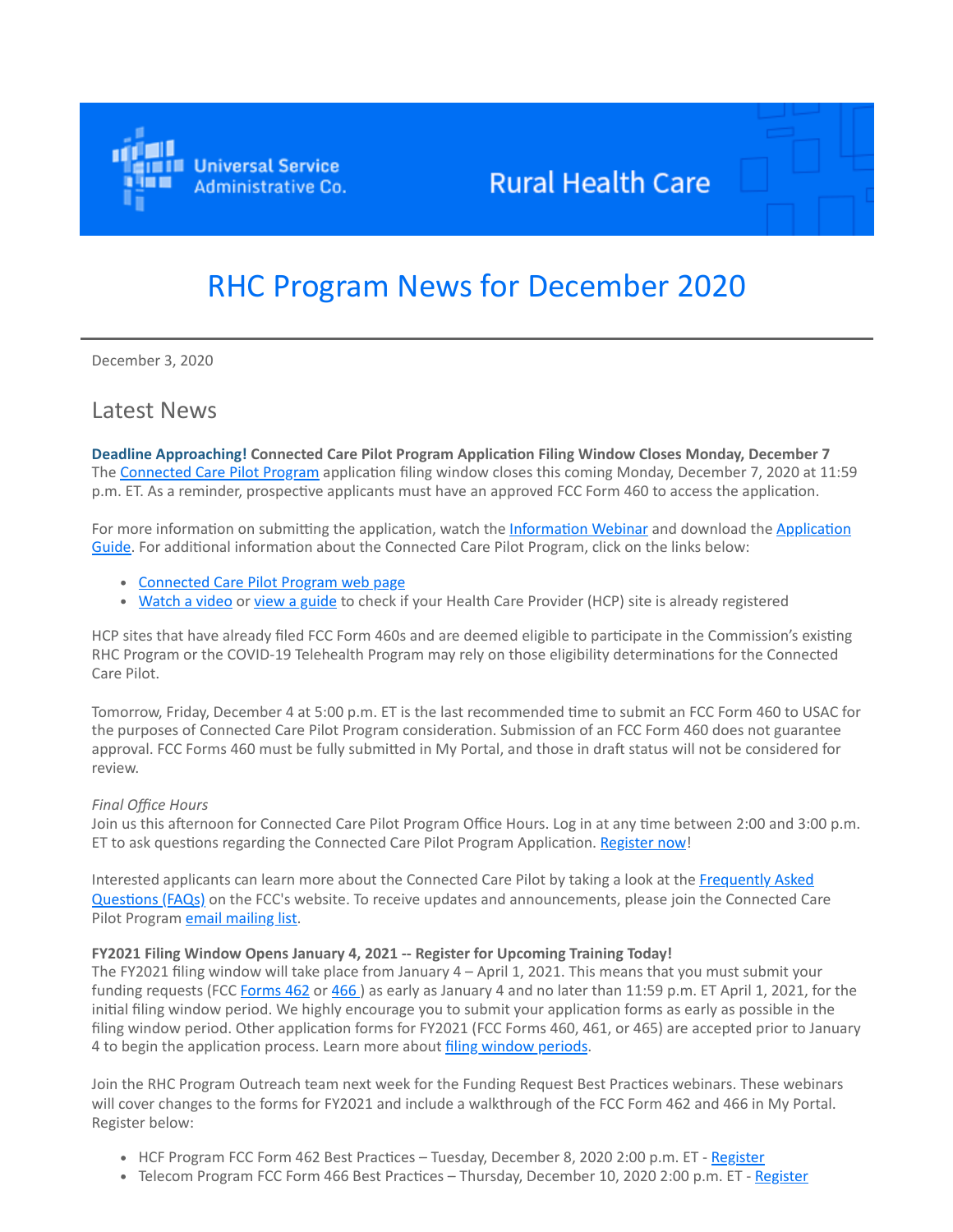

## **Rural Health Care**

# RHC Program News for December 2020

December 3, 2020

### Latest News

**Deadline Approaching! Connected Care Pilot Program Application Filing Window Closes Monday, December 7** The [Connected Care Pilot Program](https://click.outreach.usac.org/?qs=8582b86a6084b8b0b7d7ec8c960477cf57f530264dd570b71ba749aa1af046812873568dbf0f3ebe4aca6682af2b41d7f36d3967a424da84) application filing window closes this coming Monday, December 7, 2020 at 11:59 p.m. ET. As a reminder, prospective applicants must have an approved FCC Form 460 to access the application.

[For more information on submitting the application, watch the I](https://click.outreach.usac.org/?qs=8582b86a6084b8b03cc0cd5197f8b513b43d99a427b70666de65f5f63a2ee8eab940e7cdae470728fe34c4ef4aced66d72a59038114f3f43)[nformation Webinar](https://click.outreach.usac.org/?qs=8582b86a6084b8b0c5c5cf7a45eba9a0c628d10f008ad20f190b88da6b5505a138c1abc2f0b9c1be1dec3707460f131cda39a9b053a5d3f4) [and download the Application](https://click.outreach.usac.org/?qs=8582b86a6084b8b03cc0cd5197f8b513b43d99a427b70666de65f5f63a2ee8eab940e7cdae470728fe34c4ef4aced66d72a59038114f3f43) Guide. For additional information about the Connected Care Pilot Program, click on the links below:

- [Connected Care Pilot Program web page](https://click.outreach.usac.org/?qs=8582b86a6084b8b034b12e41b9bdff8a22cb9b0f4be394845b6b2f50354903508b91f5433c7fa4ff9d2b55e2aa24ad38e3a7a4da965866a9)
- . [Watch a video](https://click.outreach.usac.org/?qs=8582b86a6084b8b042e4095b144023df8cc2869d1f7a8a50bf3acb1deb9262530659c438470ddedb717da23cbe1ecf53e2cf577dd4e99124) or [view a guide](https://click.outreach.usac.org/?qs=8582b86a6084b8b01f78a0ec735ffb64487788213f9af66f1c84ee9d1f492da6e8e125de2724537822c12bf6186ddec049d8477fcf3ec35b) to check if your Health Care Provider (HCP) site is already registered

HCP sites that have already filed FCC Form 460s and are deemed eligible to participate in the Commission's existing RHC Program or the COVID-19 Telehealth Program may rely on those eligibility determinations for the Connected Care Pilot.

Tomorrow, Friday, December 4 at 5:00 p.m. ET is the last recommended time to submit an FCC Form 460 to USAC for the purposes of Connected Care Pilot Program consideration. Submission of an FCC Form 460 does not guarantee approval. FCC Forms 460 must be fully submitted in My Portal, and those in draft status will not be considered for review.

#### *Final Office Hours*

Join us this afternoon for Connected Care Pilot Program Office Hours. Log in at any time between 2:00 and 3:00 p.m. ET to ask questions regarding the Connected Care Pilot Program Application. [Register now](https://click.outreach.usac.org/?qs=8582b86a6084b8b0b17e82de27323a8ac7cfd1c80b4535de22374acccf32fbecf49dfbf61bf6e6fbe79eb1c4b28e90e0d70af96f05b9a019)!

[Interested applicants can learn more about the Connected Care Pilot by taking a look at the Frequently Asked](https://click.outreach.usac.org/?qs=8582b86a6084b8b0a00a9e1e31d10e1a12f599e9d6d17d94d890727700be6ecf6488b592f5d682323242631bf1331cce8a8e3ba9c0ada15c) Questions (FAQs) on the FCC's website. To receive updates and announcements, please join the Connected Care Pilot Program [email mailing list.](https://click.outreach.usac.org/?qs=8582b86a6084b8b00ff21ce9452f90fde3cb801ffdcf39f5e1dac9feaf69fd3496d6e4038269638a6f1716019d77685bfcabe9ca68cf497c)

#### **FY2021 Filing Window Opens January 4, 2021 -- Register for Upcoming Training Today!**

The FY2021 filing window will take place from January 4 – April 1, 2021. This means that you must submit your funding requests (FCC [Forms 462](https://click.outreach.usac.org/?qs=8582b86a6084b8b05223790d3bfc2feea9f5e5c65f689e4d1bb18b16edef5ac0e50d49e0c0ce908345bb742f96169a732bf14406e3b3cb1a) or [466](https://click.outreach.usac.org/?qs=8582b86a6084b8b0411acd77201a2be80afa8da2491833c74781a9c4898c70086a47e93d8c7d6962df141cd8680bc42afef0a27a45397c90)) as early as January 4 and no later than 11:59 p.m. ET April 1, 2021, for the initial filing window period. We highly encourage you to submit your application forms as early as possible in the filing window period. Other application forms for FY2021 (FCC Forms 460, 461, or 465) are accepted prior to January 4 to begin the application process. Learn more about [filing window periods.](https://click.outreach.usac.org/?qs=8582b86a6084b8b017e5cadffeb605f48f3776cb0ae406c13d2d72209ffe0a3bc71bee7ab950190cacf3d81d41a3eebd958440579d3dd2ac)

Join the RHC Program Outreach team next week for the Funding Request Best Practices webinars. These webinars will cover changes to the forms for FY2021 and include a walkthrough of the FCC Form 462 and 466 in My Portal. Register below:

- HCF Program FCC Form 462 Best Practices Tuesday, December 8, 2020 2:00 p.m. ET [Register](https://click.outreach.usac.org/?qs=8582b86a6084b8b052b1d67c27ab845d49db6286b207bfddb675fdc02e85983ff69c26fb96f0842d564bef20c109f96a546a8c7dd856081e)
- Telecom Program FCC Form 466 Best Practices Thursday, December 10, 2020 2:00 p.m. ET [Register](https://click.outreach.usac.org/?qs=8582b86a6084b8b078d82dbb1fa70d5cfdc7ce64a70cf769045dfacef7bff39d0ca32923002abd50901a0ef774a811256a573269d3b5e590)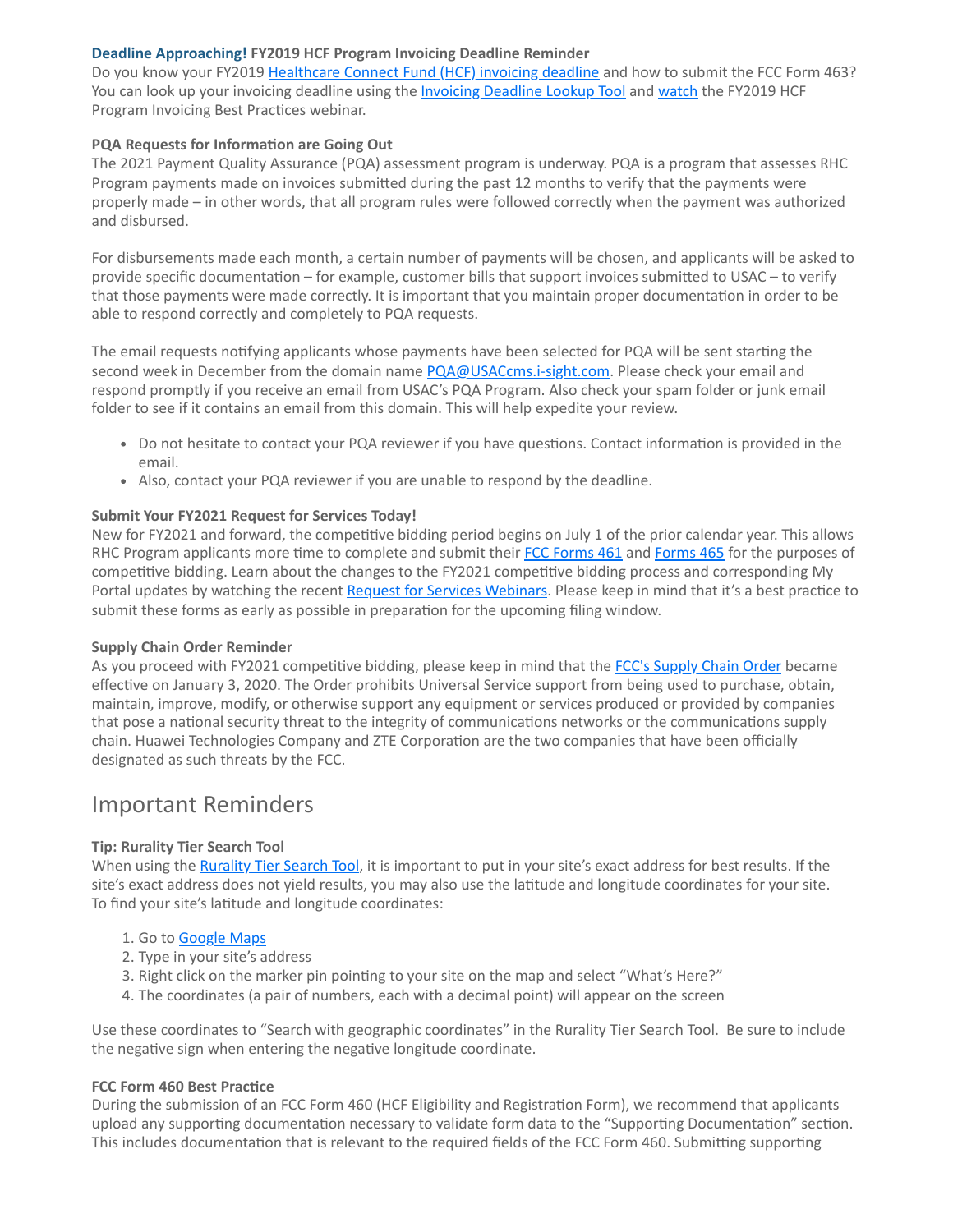#### **Deadline Approaching! FY2019 HCF Program Invoicing Deadline Reminder**

Do you know your FY2019 [Healthcare Connect Fund \(HCF\) invoicing deadline](https://click.outreach.usac.org/?qs=8582b86a6084b8b0a5b2c4449511711dbcfb5635ba1754fc6da2a73fb58e0dda2f2b678791ecb11974c236210111cc208608592c00dcd91e) and how to submit the FCC Form 463? You can look up your invoicing deadline using the **Invoicing Deadline Lookup Tool** and [watch](https://click.outreach.usac.org/?qs=8582b86a6084b8b018368a9c9ffb47ed7b8dc26546cb508666003d374ff2072ac6f459c362c11162c8912b625c8131cc5e9b59cf3c71f6ad) the FY2019 HCF Program Invoicing Best Practices webinar.

#### **PQA Requests for Information are Going Out**

The 2021 Payment Quality Assurance (PQA) assessment program is underway. PQA is a program that assesses RHC Program payments made on invoices submitted during the past 12 months to verify that the payments were properly made – in other words, that all program rules were followed correctly when the payment was authorized and disbursed.

For disbursements made each month, a certain number of payments will be chosen, and applicants will be asked to provide specific documentation – for example, customer bills that support invoices submitted to USAC – to verify that those payments were made correctly. It is important that you maintain proper documentation in order to be able to respond correctly and completely to PQA requests.

The email requests notifying applicants whose payments have been selected for PQA will be sent starting the second week in December from the domain name [PQA@USACcms.i-sight.com.](mailto:PQA@USACcms.i-sight.com?subject=) Please check your email and respond promptly if you receive an email from USAC's PQA Program. Also check your spam folder or junk email folder to see if it contains an email from this domain. This will help expedite your review.

- Do not hesitate to contact your PQA reviewer if you have questions. Contact information is provided in the email.
- Also, contact your PQA reviewer if you are unable to respond by the deadline.

#### **Submit Your FY2021 Request for Services Today!**

New for FY2021 and forward, the competitive bidding period begins on July 1 of the prior calendar year. This allows RHC Program applicants more time to complete and submit their [FCC Forms 461](https://click.outreach.usac.org/?qs=8582b86a6084b8b014cde758d497b0c6ab1edce94d51e1761a499cc47f4134bf48ee73d021ec51094774d509f354c7e2b83524f0a77ddf3a) and [Forms 465](https://click.outreach.usac.org/?qs=8582b86a6084b8b05b22683d8208d665ac474923fa3a6a7ae6a03d4ea6411e6160d212bc2eecd0fe2ce33af24367bbbfd4545b336add42d1) for the purposes of competitive bidding. Learn about the changes to the FY2021 competitive bidding process and corresponding My Portal updates by watching the recent [Request for Services Webinars.](https://click.outreach.usac.org/?qs=8582b86a6084b8b07e94cf53a2eb4257a61ba89028df11ab906025a74039c2ba9ea30f87465df734be52e9e976d04fe2038c99adee1f9ff9) Please keep in mind that it's a best practice to submit these forms as early as possible in preparation for the upcoming filing window.

#### **Supply Chain Order Reminder**

As you proceed with FY2021 competitive bidding, please keep in mind that the [FCC's Supply Chain Order](https://click.outreach.usac.org/?qs=8582b86a6084b8b079a062799cbd5d3121887a0ef2fed8b670691f6c91c804570689c566e8c55636839768ad60abdc238ffa73cc26ed7e1e) became effective on January 3, 2020. The Order prohibits Universal Service support from being used to purchase, obtain, maintain, improve, modify, or otherwise support any equipment or services produced or provided by companies that pose a national security threat to the integrity of communications networks or the communications supply chain. Huawei Technologies Company and ZTE Corporation are the two companies that have been officially designated as such threats by the FCC.

### Important Reminders

#### **Tip: Rurality Tier Search Tool**

When using the [Rurality Tier Search Tool,](https://click.outreach.usac.org/?qs=8582b86a6084b8b08cbed87f855f0927516eb2b7ef96ed1247a2938362f3b08c95dd018c64453757c7f572a287127e921b40a6a6b4273dff) it is important to put in your site's exact address for best results. If the site's exact address does not yield results, you may also use the latitude and longitude coordinates for your site. To find your site's latitude and longitude coordinates:

#### 1. Go to **Google Maps**

- 2. Type in your site's address
- 3. Right click on the marker pin pointing to your site on the map and select "What's Here?"
- 4. The coordinates (a pair of numbers, each with a decimal point) will appear on the screen

Use these coordinates to "Search with geographic coordinates" in the Rurality Tier Search Tool. Be sure to include the negative sign when entering the negative longitude coordinate.

#### **FCC Form 460 Best Practice**

During the submission of an FCC Form 460 (HCF Eligibility and Registration Form), we recommend that applicants upload any supporting documentation necessary to validate form data to the "Supporting Documentation" section. This includes documentation that is relevant to the required fields of the FCC Form 460. Submitting supporting